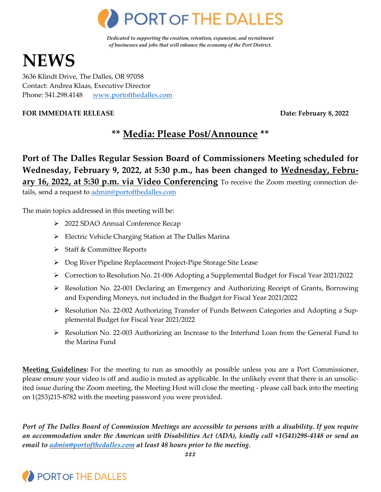

*Dedicated to supporting the creation, retention, expansion, and recruitment of businesses and jobs that will enhance the economy of the Port District.* 

# **NEWS**

3636 Klindt Drive, The Dalles, OR 97058 Contact: Andrea Klaas, Executive Director Phone: 541.298.4148 [www.portofthedalles.com](http://www.portofthedalles.com/)

#### **FOR IMMEDIATE RELEASE Date: February 8, 2022**

# **\*\* Media: Please Post/Announce \*\***

# **Port of The Dalles Regular Session Board of Commissioners Meeting scheduled for Wednesday, February 9, 2022, at 5:30 p.m., has been changed to Wednesday, February 16, 2022, at 5:30 p.m. via Video Conferencing** To receive the Zoom meeting connection de-

tails, send a request t[o admin@portofthedalles.com](mailto:admin@portofthedalles.com)

The main topics addressed in this meeting will be:

- 2022 SDAO Annual Conference Recap
- Electric Vehicle Charging Station at The Dalles Marina
- Staff & Committee Reports
- Dog River Pipeline Replacement Project-Pipe Storage Site Lease
- Correction to Resolution No. 21-006 Adopting a Supplemental Budget for Fiscal Year 2021/2022
- Resolution No. 22-001 Declaring an Emergency and Authorizing Receipt of Grants, Borrowing and Expending Moneys, not included in the Budget for Fiscal Year 2021/2022
- Resolution No. 22-002 Authorizing Transfer of Funds Between Categories and Adopting a Supplemental Budget for Fiscal Year 2021/2022
- $\triangleright$  Resolution No. 22-003 Authorizing an Increase to the Interfund Loan from the General Fund to the Marina Fund

**Meeting Guidelines:** For the meeting to run as smoothly as possible unless you are a Port Commissioner, please ensure your video is off and audio is muted as applicable. In the unlikely event that there is an unsolicited issue during the Zoom meeting, the Meeting Host will close the meeting - please call back into the meeting on 1(253)215-8782 with the meeting password you were provided.

*Port of The Dalles Board of Commission Meetings are accessible to persons with a disability. If you require an accommodation under the American with Disabilities Act (ADA), kindly call +1(541)298-4148 or send an email to [admin@portofthedalles.com](mailto:admin@portofthedalles.com) at least 48 hours prior to the meeting.* 

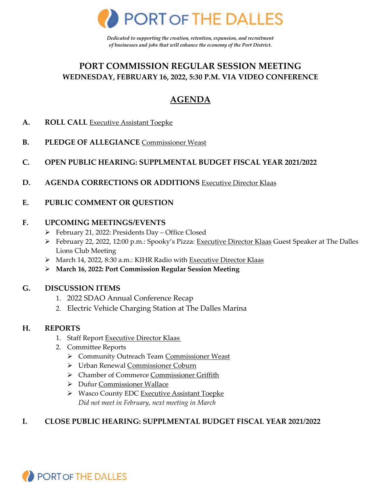

*Dedicated to supporting the creation, retention, expansion, and recruitment of businesses and jobs that will enhance the economy of the Port District.* 

## **PORT COMMISSION REGULAR SESSION MEETING WEDNESDAY, FEBRUARY 16, 2022, 5:30 P.M. VIA VIDEO CONFERENCE**

# **AGENDA**

- **A. ROLL CALL** Executive Assistant Toepke
- **B. PLEDGE OF ALLEGIANCE** Commissioner Weast
- **C. OPEN PUBLIC HEARING: SUPPLMENTAL BUDGET FISCAL YEAR 2021/2022**
- **D. AGENDA CORRECTIONS OR ADDITIONS** Executive Director Klaas
- **E. PUBLIC COMMENT OR QUESTION**

#### **F. UPCOMING MEETINGS/EVENTS**

- February 21, 2022: Presidents Day Office Closed
- February 22, 2022, 12:00 p.m.: Spooky's Pizza: Executive Director Klaas Guest Speaker at The Dalles Lions Club Meeting
- > March 14, 2022, 8:30 a.m.: KIHR Radio with Executive Director Klaas
- **March 16, 2022: Port Commission Regular Session Meeting**

#### **G. DISCUSSION ITEMS**

- 1. 2022 SDAO Annual Conference Recap
- 2. Electric Vehicle Charging Station at The Dalles Marina

#### **H. REPORTS**

- 1. Staff Report Executive Director Klaas
- 2. Committee Reports
	- ▶ Community Outreach Team Commissioner Weast
	- Urban Renewal Commissioner Coburn
	- > Chamber of Commerce Commissioner Griffith
	- ▶ Dufur Commissioner Wallace
	- ▶ Wasco County EDC Executive Assistant Toepke *Did not meet in February, next meeting in March*

#### **I. CLOSE PUBLIC HEARING: SUPPLMENTAL BUDGET FISCAL YEAR 2021/2022**